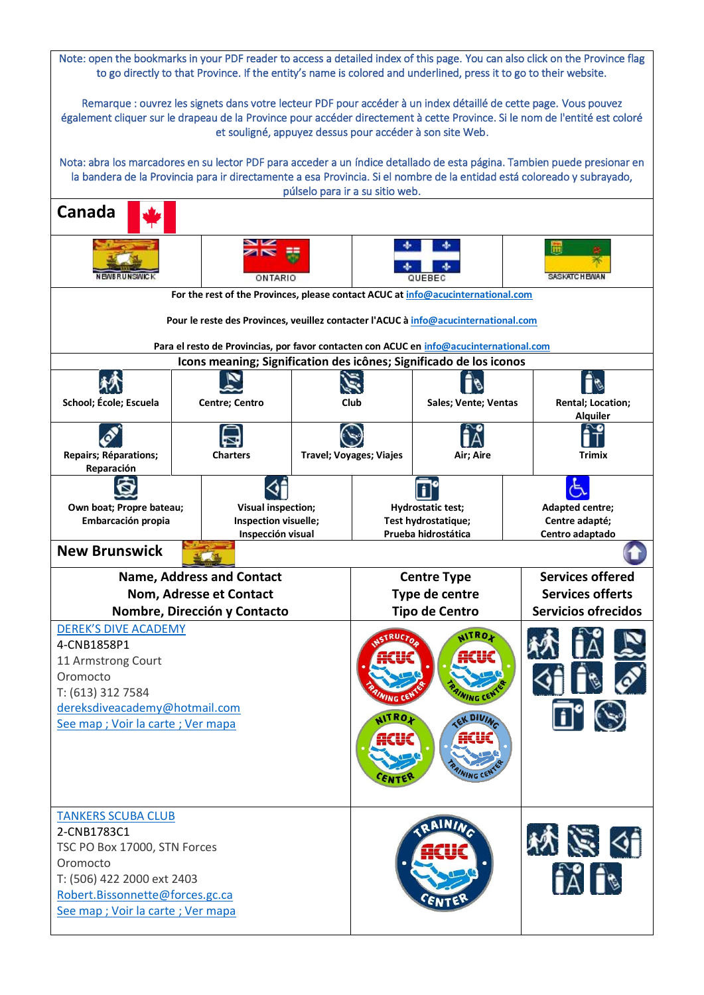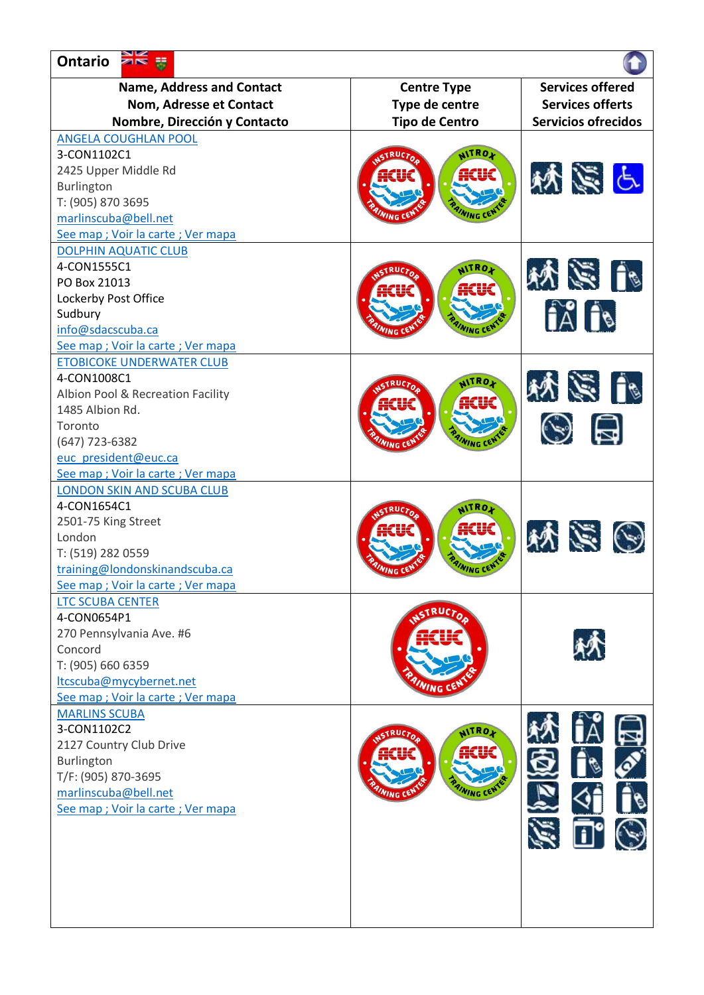| Ontario <b>AK</b>                  |                       |                            |
|------------------------------------|-----------------------|----------------------------|
| <b>Name, Address and Contact</b>   | <b>Centre Type</b>    | <b>Services offered</b>    |
| Nom, Adresse et Contact            | Type de centre        | <b>Services offerts</b>    |
| Nombre, Dirección y Contacto       | <b>Tipo de Centro</b> | <b>Servicios ofrecidos</b> |
| <b>ANGELA COUGHLAN POOL</b>        |                       |                            |
| 3-CON1102C1                        | NITROX                |                            |
| 2425 Upper Middle Rd               | iiCUC                 |                            |
| Burlington                         |                       | 妖気と                        |
| T: (905) 870 3695                  |                       |                            |
| marlinscuba@bell.net               |                       |                            |
| See map ; Voir la carte ; Ver mapa |                       |                            |
| <b>DOLPHIN AQUATIC CLUB</b>        |                       |                            |
| 4-CON1555C1                        | <b>AITROA</b>         |                            |
| PO Box 21013                       |                       | 小学的                        |
| Lockerby Post Office               |                       |                            |
| Sudbury                            |                       | $\hat{A}$ $\hat{B}$        |
| info@sdacscuba.ca                  |                       |                            |
| See map ; Voir la carte ; Ver mapa |                       |                            |
| <b>ETOBICOKE UNDERWATER CLUB</b>   |                       |                            |
| 4-CON1008C1                        | <b>AITROX</b>         |                            |
| Albion Pool & Recreation Facility  |                       | 小学校                        |
| 1485 Albion Rd.                    | ACUC                  |                            |
| Toronto                            |                       | $\odot$ a                  |
| (647) 723-6382                     |                       |                            |
| euc president@euc.ca               |                       |                            |
| See map ; Voir la carte ; Ver mapa |                       |                            |
| <b>LONDON SKIN AND SCUBA CLUB</b>  |                       |                            |
| 4-CON1654C1                        | <b>AITROJ</b>         |                            |
| 2501-75 King Street                |                       |                            |
| London                             |                       | 秋気 ④                       |
| T: (519) 282 0559                  |                       |                            |
| training@londonskinandscuba.ca     |                       |                            |
| See map ; Voir la carte ; Ver mapa |                       |                            |
| <b>LTC SCUBA CENTER</b>            | RUCTO                 |                            |
| 4-CON0654P1                        |                       |                            |
| 270 Pennsylvania Ave. #6           |                       |                            |
| Concord                            |                       |                            |
| T: (905) 660 6359                  |                       |                            |
| Itcscuba@mycybernet.net            |                       |                            |
| See map ; Voir la carte ; Ver mapa |                       |                            |
| <b>MARLINS SCUBA</b>               |                       |                            |
| 3-CON1102C2                        | NITRO <sub>1</sub>    |                            |
| 2127 Country Club Drive            | ACUC                  |                            |
| Burlington                         |                       |                            |
| T/F: (905) 870-3695                |                       |                            |
| marlinscuba@bell.net               |                       |                            |
| See map ; Voir la carte ; Ver mapa |                       |                            |
|                                    |                       | $\mathbf{u}^{\bullet}$     |
|                                    |                       |                            |
|                                    |                       |                            |
|                                    |                       |                            |
|                                    |                       |                            |
|                                    |                       |                            |
|                                    |                       |                            |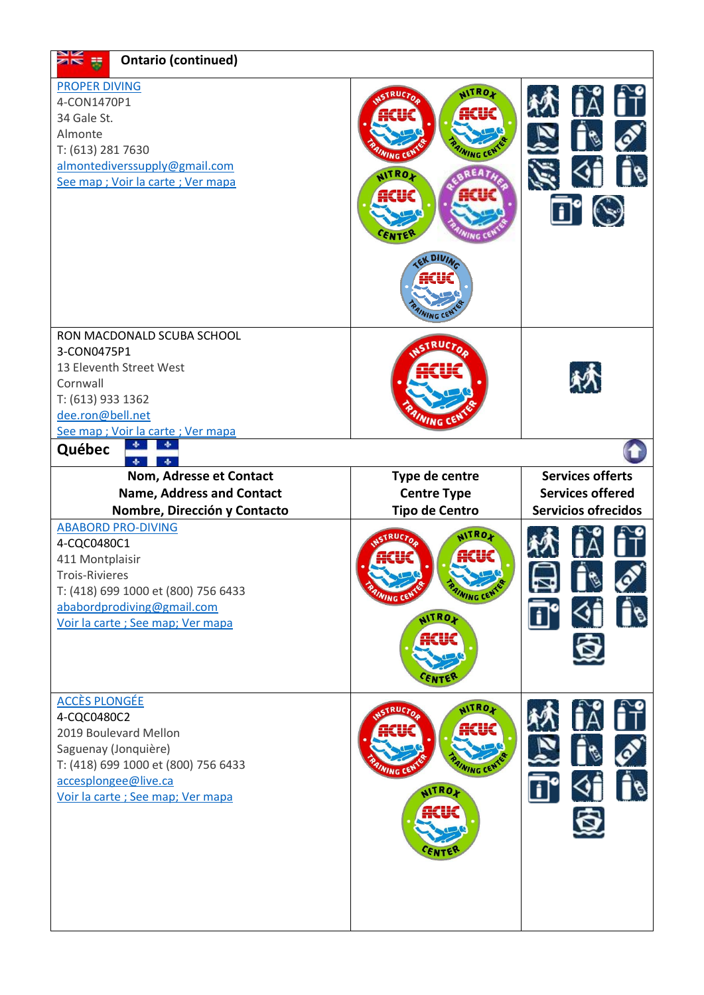| <b>PROPER DIVING</b><br><b>NITROX</b><br>4-CON1470P1<br>34 Gale St.<br>Almonte<br>T: (613) 281 7630<br>almontediverssupply@gmail.com<br><b>NITROA</b><br>See map ; Voir la carte ; Ver mapa<br>ACUC<br>$N_{ING}$ C<br>RON MACDONALD SCUBA SCHOOL<br>RUCTO<br>3-CON0475P1<br>13 Eleventh Street West<br>Cornwall<br>T: (613) 933 1362<br>dee.ron@bell.net<br>See map ; Voir la carte ; Ver mapa<br>Québec<br><b>Services offerts</b><br>Nom, Adresse et Contact<br>Type de centre<br><b>Services offered</b><br><b>Name, Address and Contact</b><br><b>Centre Type</b><br><b>Tipo de Centro</b><br><b>Servicios ofrecidos</b><br>Nombre, Dirección y Contacto<br><b>ABABORD PRO-DIVING</b><br>NITROX<br>4-CQC0480C1<br>411 Montplaisir<br>Trois-Rivieres<br>T: (418) 699 1000 et (800) 756 6433<br>ababordprodiving@gmail.com<br><b>NITROY</b><br>Voir la carte ; See map; Ver mapa<br>$\hat{\mathbf{v}}$<br><b>ACCÈS PLONGÉE</b><br><b>NITROX</b><br>4-CQC0480C2<br>2019 Boulevard Mellon<br>Saguenay (Jonquière)<br>T: (418) 699 1000 et (800) 756 6433<br><b>WING C</b><br>accesplongee@live.ca | <b>SIE E</b> | <b>Ontario (continued)</b> |                    |  |
|---------------------------------------------------------------------------------------------------------------------------------------------------------------------------------------------------------------------------------------------------------------------------------------------------------------------------------------------------------------------------------------------------------------------------------------------------------------------------------------------------------------------------------------------------------------------------------------------------------------------------------------------------------------------------------------------------------------------------------------------------------------------------------------------------------------------------------------------------------------------------------------------------------------------------------------------------------------------------------------------------------------------------------------------------------------------------------------------------|--------------|----------------------------|--------------------|--|
|                                                                                                                                                                                                                                                                                                                                                                                                                                                                                                                                                                                                                                                                                                                                                                                                                                                                                                                                                                                                                                                                                                   |              |                            |                    |  |
|                                                                                                                                                                                                                                                                                                                                                                                                                                                                                                                                                                                                                                                                                                                                                                                                                                                                                                                                                                                                                                                                                                   |              |                            |                    |  |
|                                                                                                                                                                                                                                                                                                                                                                                                                                                                                                                                                                                                                                                                                                                                                                                                                                                                                                                                                                                                                                                                                                   |              |                            |                    |  |
|                                                                                                                                                                                                                                                                                                                                                                                                                                                                                                                                                                                                                                                                                                                                                                                                                                                                                                                                                                                                                                                                                                   |              |                            |                    |  |
| Voir la carte ; See map; Ver mapa                                                                                                                                                                                                                                                                                                                                                                                                                                                                                                                                                                                                                                                                                                                                                                                                                                                                                                                                                                                                                                                                 |              |                            | NITRO <sub>M</sub> |  |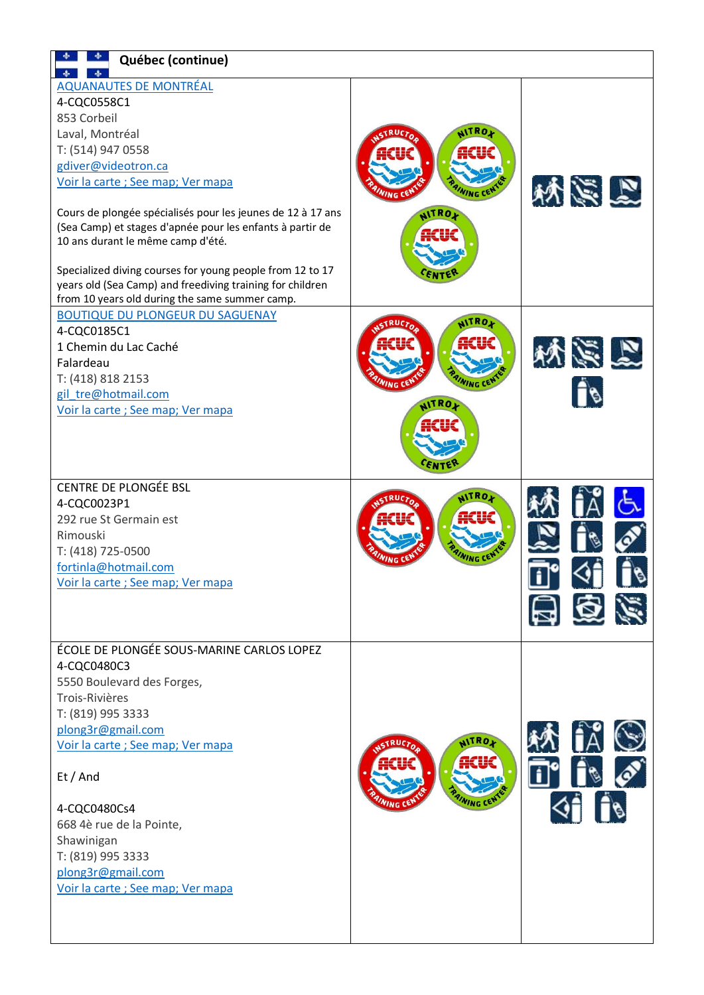| Québec (continue)                                                                                                                                                                                                                                                                                                                                                                                                                                                                                            |                              |                                         |
|--------------------------------------------------------------------------------------------------------------------------------------------------------------------------------------------------------------------------------------------------------------------------------------------------------------------------------------------------------------------------------------------------------------------------------------------------------------------------------------------------------------|------------------------------|-----------------------------------------|
| <b>AQUANAUTES DE MONTRÉAL</b><br>4-CQC0558C1<br>853 Corbeil<br>Laval, Montréal<br>T: (514) 947 0558<br>gdiver@videotron.ca<br>Voir la carte ; See map; Ver mapa<br>Cours de plongée spécialisés pour les jeunes de 12 à 17 ans<br>(Sea Camp) et stages d'apnée pour les enfants à partir de<br>10 ans durant le même camp d'été.<br>Specialized diving courses for young people from 12 to 17<br>years old (Sea Camp) and freediving training for children<br>from 10 years old during the same summer camp. | <b>AITRO</b><br><b>AITRO</b> | 外资品                                     |
| <b>BOUTIQUE DU PLONGEUR DU SAGUENAY</b><br>4-CQC0185C1<br>1 Chemin du Lac Caché<br>Falardeau<br>T: (418) 818 2153<br>gil tre@hotmail.com<br>Voir la carte ; See map; Ver mapa                                                                                                                                                                                                                                                                                                                                | <b>NITROL</b><br>WRO         | 网络欧                                     |
| CENTRE DE PLONGÉE BSL<br>4-CQC0023P1<br>292 rue St Germain est<br>Rimouski<br>T: (418) 725-0500<br>fortinla@hotmail.com<br>Voir la carte ; See map; Ver mapa                                                                                                                                                                                                                                                                                                                                                 | AITRO                        | ◥▮<br>$\mathbb{R}$<br>日百だ               |
| ÉCOLE DE PLONGÉE SOUS-MARINE CARLOS LOPEZ<br>4-CQC0480C3<br>5550 Boulevard des Forges,<br>Trois-Rivières<br>T: (819) 995 3333<br>plong3r@gmail.com<br>Voir la carte ; See map; Ver mapa<br>Et / And<br>4-CQC0480Cs4<br>668 4è rue de la Pointe,<br>Shawinigan<br>T: (819) 995 3333<br>plong3r@gmail.com<br>Voir la carte ; See map; Ver mapa                                                                                                                                                                 | NITROX<br>ACUC               | ÎÄ.<br>$\mathbf{H}^{\bullet}$<br>$4$ 10 |